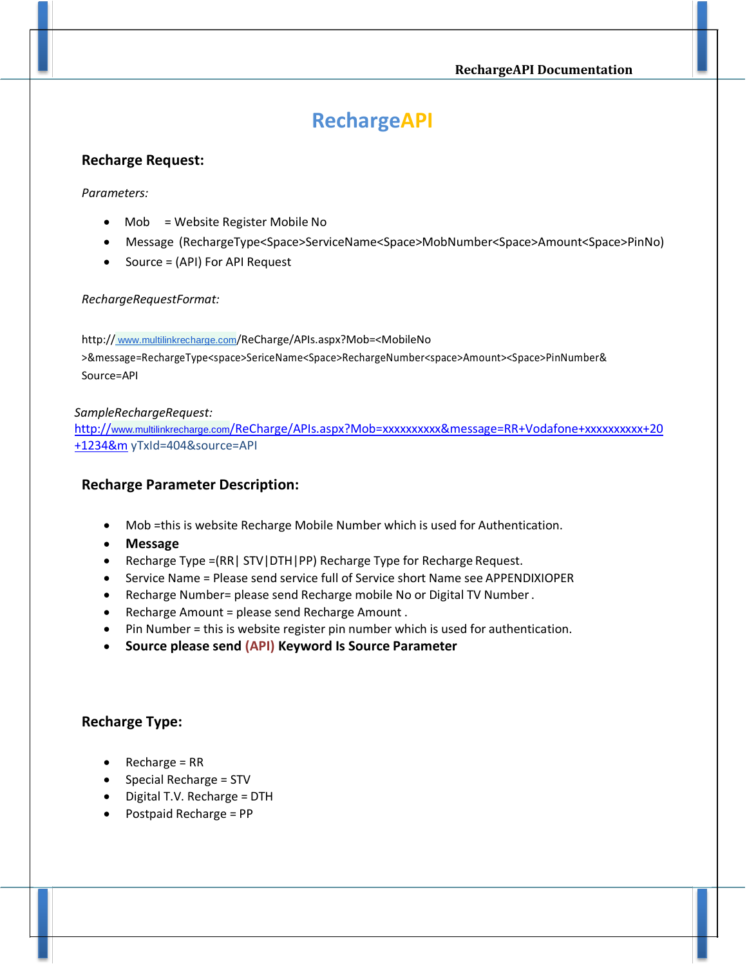# **RechargeAPI**

# **Recharge Request:**

## *Parameters:*

- Mob = Website Register Mobile No
- Message (RechargeType<Space>ServiceName<Space>MobNumber<Space>Amount<Space>PinNo)
- Source = (API) For API Request

## *RechargeRequestFormat:*

http:// www.multilinkrecharge.com[/ReCharge/APIs.aspx?Mob=<](http://domainname/ReCharge/APIs.aspx?Mob)MobileNo >&message=RechargeType<space>SericeName<Space>RechargeNumber<space>Amount><Space>PinNumber& Source=API

## *SampleRechargeRequest:*

http://www.multilinkrecharge.com[/ReCharge/APIs.aspx?Mob=xxxxxxxxxx&message=RR+Vodafone+xxxxxxxxxx+20](http://www.rechargexp.co.in/ReCharge/APIs.aspx?Mob=xxxxxxxxxx&message=RR+Vodafone+xxxxxxxxxx+20+1234&m) [+1234&m](http://www.rechargexp.co.in/ReCharge/APIs.aspx?Mob=xxxxxxxxxx&message=RR+Vodafone+xxxxxxxxxx+20+1234&m) yTxId=404&source=API

# **Recharge Parameter Description:**

- Mob =this is website Recharge Mobile Number which is used for Authentication.
- **Message**
- Recharge Type =(RR| STV|DTH|PP) Recharge Type for Recharge Request.
- Service Name = Please send service full of Service short Name see APPENDIXIOPER
- Recharge Number= please send Recharge mobile No or Digital TV Number.
- Recharge Amount = please send Recharge Amount .
- Pin Number = this is website register pin number which is used for authentication.
- **Source please send (API) Keyword Is Source Parameter**

# **Recharge Type:**

- Recharge = RR
- $\bullet$  Special Recharge = STV
- Digital T.V. Recharge = DTH
- Postpaid Recharge = PP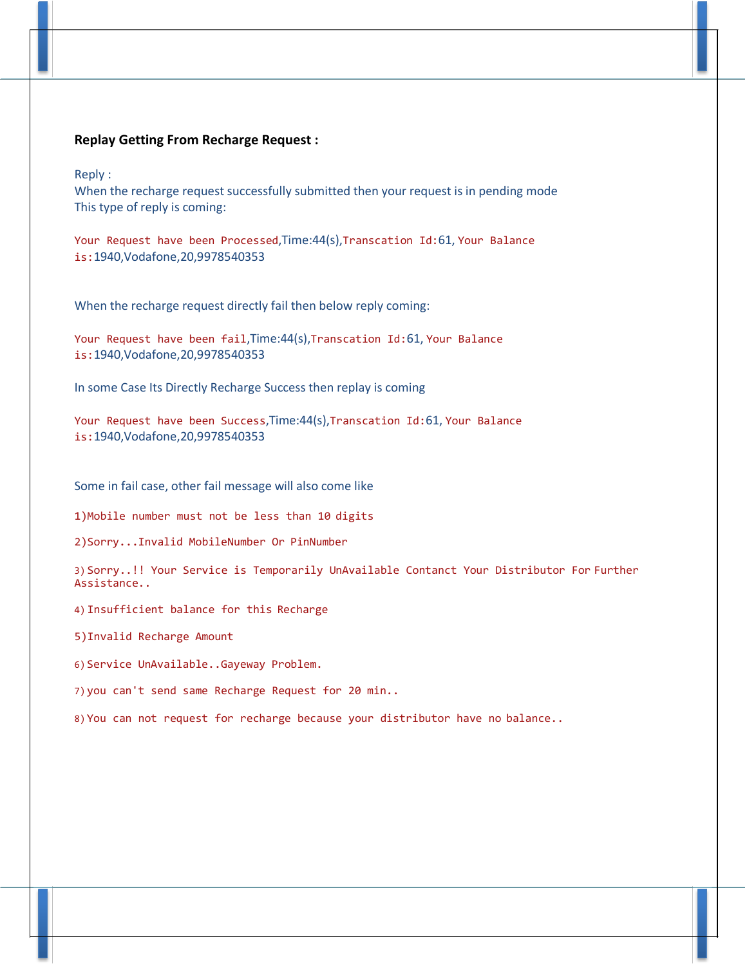## **Replay Getting From Recharge Request :**

Reply :

When the recharge request successfully submitted then your request is in pending mode This type of reply is coming:

Your Request have been Processed,Time:44(s),Transcation Id:61, Your Balance is:1940,Vodafone,20,9978540353

When the recharge request directly fail then below reply coming:

Your Request have been fail,Time:44(s),Transcation Id:61, Your Balance is:1940,Vodafone,20,9978540353

In some Case Its Directly Recharge Success then replay is coming

Your Request have been Success, Time: 44(s), Transcation Id: 61, Your Balance is:1940,Vodafone,20,9978540353

Some in fail case, other fail message will also come like

1)Mobile number must not be less than 10 digits

2)Sorry...Invalid MobileNumber Or PinNumber

3) Sorry..!! Your Service is Temporarily UnAvailable Contanct Your Distributor For Further Assistance..

4) Insufficient balance for this Recharge

5)Invalid Recharge Amount

6) Service UnAvailable..Gayeway Problem.

7) you can't send same Recharge Request for 20 min..

8) You can not request for recharge because your distributor have no balance..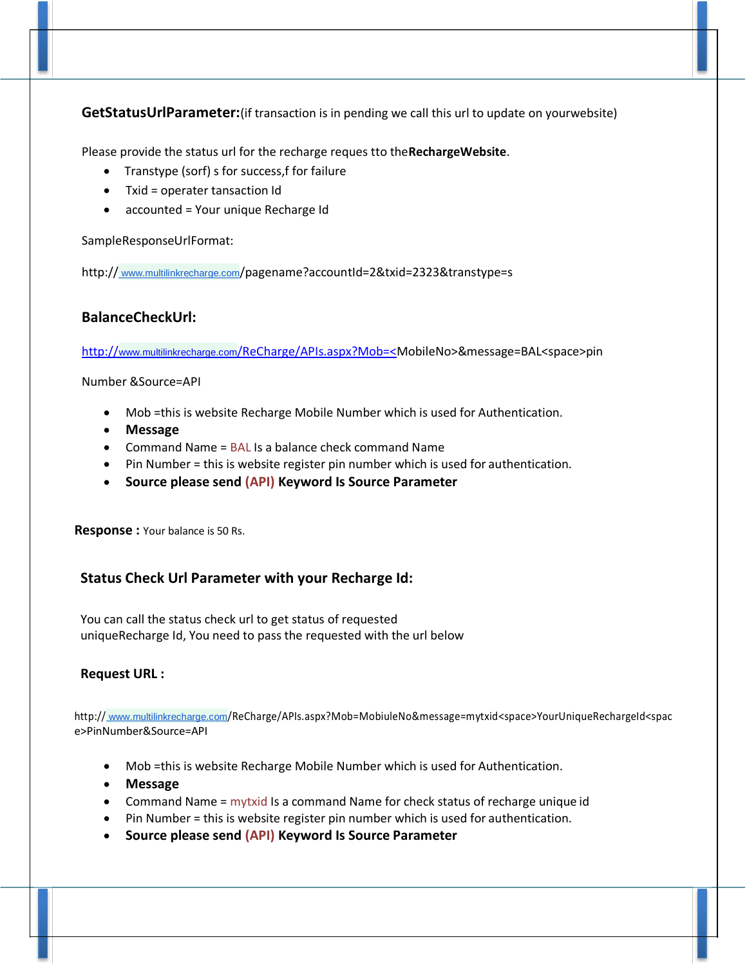**GetStatusUrlParameter:**(if transaction is in pending we call this url to update on yourwebsite)

Please provide the status url for the recharge reques tto the**RechargeWebsite**.

- Transtype (sorf) s for success,f for failure
- Txid = operater tansaction Id
- accounted = Your unique Recharge Id

SampleResponseUrlFormat:

http://www.multilinkrecharge.com[/pagename?accountId=2&txid=2323&transtype=s](http://www.yourdomain.com/pagename?accountId=2&txid=2323&transtype=s)

# **BalanceCheckUrl:**

http://www.multilinkrecharge.com[/ReCharge/APIs.aspx?Mob=<M](http://www.rechargexp.co.in/ReCharge/APIs.aspx?Mob=%3c)obileNo>&message=BAL<space>pin

Number &Source=API

- Mob =this is website Recharge Mobile Number which is used for Authentication.
- **Message**
- Command Name = BAL Is a balance check command Name
- Pin Number = this is website register pin number which is used for authentication.
- **Source please send (API) Keyword Is Source Parameter**

**Response :** Your balance is 50 Rs.

# **Status Check Url Parameter with your Recharge Id:**

You can call the status check url to get status of requested uniqueRecharge Id, You need to pass the requested with the url below

# **Request URL :**

http:// www.multilinkrecharge.com[/ReCharge/APIs.aspx?Mob=MobiuleNo&message=mytxid<](http://domainname/ReCharge/APIs.aspx?Mob=MobiuleNo&message=mytxid)space>YourUniqueRechargeId<spac e>PinNumber&Source=API

- Mob =this is website Recharge Mobile Number which is used for Authentication.
- **Message**
- Command Name = mytxid Is a command Name for check status of recharge unique id
- Pin Number = this is website register pin number which is used for authentication.
- **Source please send (API) Keyword Is Source Parameter**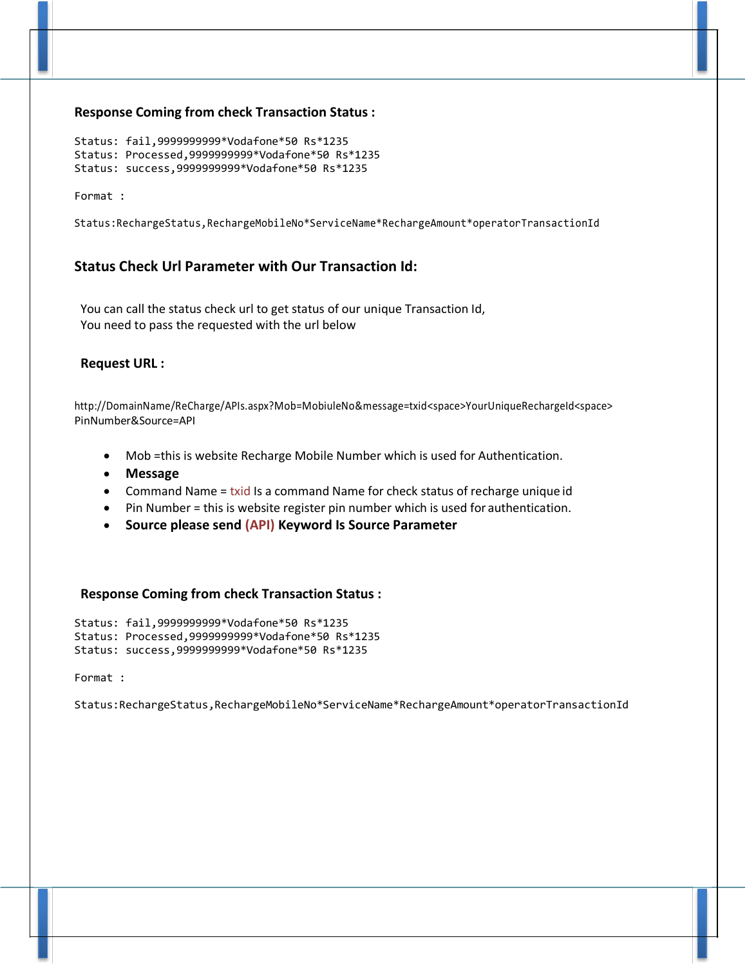#### **Response Coming from check Transaction Status :**

Status: fail,9999999999\*Vodafone\*50 Rs\*1235 Status: Processed,9999999999\*Vodafone\*50 Rs\*1235 Status: success,9999999999\*Vodafone\*50 Rs\*1235

Format :

Status:RechargeStatus,RechargeMobileNo\*ServiceName\*RechargeAmount\*operatorTransactionId

# **Status Check Url Parameter with Our Transaction Id:**

You can call the status check url to get status of our unique Transaction Id, You need to pass the requested with the url below

#### **Request URL :**

[http://DomainName/ReCharge/APIs.aspx?Mob=MobiuleNo&message=txid<](http://domainname/ReCharge/APIs.aspx?Mob=MobiuleNo&message=txid)space>YourUniqueRechargeId<space> PinNumber&Source=API

- Mob =this is website Recharge Mobile Number which is used for Authentication.
- **Message**
- Command Name = txid Is a command Name for check status of recharge unique id
- Pin Number = this is website register pin number which is used for authentication.
- **Source please send (API) Keyword Is Source Parameter**

#### **Response Coming from check Transaction Status :**

Status: fail,9999999999\*Vodafone\*50 Rs\*1235 Status: Processed,9999999999\*Vodafone\*50 Rs\*1235 Status: success,9999999999\*Vodafone\*50 Rs\*1235

Format :

Status:RechargeStatus,RechargeMobileNo\*ServiceName\*RechargeAmount\*operatorTransactionId